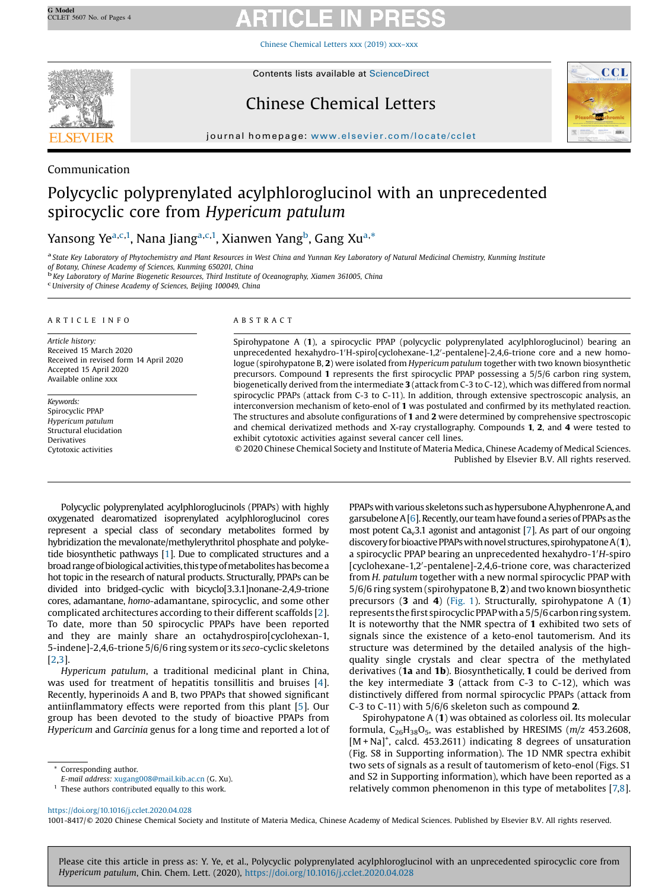Chinese [Chemical](https://doi.org/10.1016/j.cclet.2020.04.028) Letters xxx (2019) xxx–xxx



# Chinese Chemical Letters



journal homepage: <www.elsevier.com/locate/cclet>ter.com/locate/ccletter.com/locate/ccletter.com/locate/ccletter.com/locate/ccletter.com/locate/ccletter.com/locate/ccletter.com/locate/ccletter.com/locate/ccletter.com/locate

### Communication

## Polycyclic polyprenylated acylphloroglucinol with an unprecedented spirocyclic core from Hypericum patulum

## Yansong Ye<sup>a,c,1</sup>, Nana Jiang<sup>a,c,1</sup>, Xianwen Yang<sup>b</sup>, Gang Xu<sup>a,\*</sup>

a State Key Laboratory of Phytochemistry and Plant Resources in West China and Yunnan Key Laboratory of Natural Medicinal Chemistry, Kunming Institute of Botany, Chinese Academy of Sciences, Kunming 550201, China

<sup>b</sup> Key Laboratory of Marine Biogenetic Resources, Third Institute of Oceanography, Xiamen 361005, China

University of Chinese Academy of Sciences, Beijing 100049, China

### A R T I C L E I N F O

Article history: Received 15 March 2020 Received in revised form 14 April 2020 Accepted 15 April 2020 Available online xxx

Keywords: Spirocyclic PPAP Hypericum patulum Structural elucidation Derivatives Cytotoxic activities

### A B S T R A C T

Spirohypatone A (1), a spirocyclic PPAP (polycyclic polyprenylated acylphloroglucinol) bearing an unprecedented hexahydro-1'H-spiro[cyclohexane-1,2'-pentalene]-2,4,6-trione core and a new homologue (spirohypatone B, 2) were isolated from Hypericum patulum together with two known biosynthetic precursors. Compound 1 represents the first spirocyclic PPAP possessing a 5/5/6 carbon ring system, biogenetically derived from the intermediate 3 (attack from C-3 to C-12), which was differed from normal spirocyclic PPAPs (attack from C-3 to C-11). In addition, through extensive spectroscopic analysis, an interconversion mechanism of keto-enol of 1 was postulated and confirmed by its methylated reaction. The structures and absolute configurations of 1 and 2 were determined by comprehensive spectroscopic and chemical derivatized methods and X-ray crystallography. Compounds 1, 2, and 4 were tested to exhibit cytotoxic activities against several cancer cell lines.

© 2020 Chinese Chemical Society and Institute of Materia Medica, Chinese Academy of Medical Sciences. Published by Elsevier B.V. All rights reserved.

Polycyclic polyprenylated acylphloroglucinols (PPAPs) with highly oxygenated dearomatized isoprenylated acylphloroglucinol cores represent a special class of secondary metabolites formed by hybridization the mevalonate/methylerythritol phosphate and polyketide biosynthetic pathways [\[1](#page-3-0)]. Due to complicated structures and a broad range of biological activities, this type of metabolites has become a hot topic in the research of natural products. Structurally, PPAPs can be divided into bridged-cyclic with bicyclo[3.3.1]nonane-2,4,9-trione cores, adamantane, homo-adamantane, spirocyclic, and some other complicated architectures according to their different scaffolds [[2](#page-3-0)]. To date, more than 50 spirocyclic PPAPs have been reported and they are mainly share an octahydrospiro[cyclohexan-1, 5-indene]-2,4,6-trione 5/6/6 ring system or its seco-cyclic skeletons [[2,3](#page-3-0)].

Hypericum patulum, a traditional medicinal plant in China, was used for treatment of hepatitis tonsillitis and bruises [[4](#page-3-0)]. Recently, hyperinoids A and B, two PPAPs that showed significant antiinflammatory effects were reported from this plant [[5\]](#page-3-0). Our group has been devoted to the study of bioactive PPAPs from Hypericum and Garcinia genus for a long time and reported a lot of

Corresponding author.

PPAPs with various skeletons such as hypersubone A,hyphenrone A, and garsubelone  $A[6]$  $A[6]$  $A[6]$ . Recently, our team have found a series of PPAPs as the most potent  $Ca<sub>v</sub>3.1$  agonist and antagonist [\[7](#page-3-0)]. As part of our ongoing discovery for bioactive PPAPs with novel structures, spirohypatone  $A(1)$ , a spirocyclic PPAP bearing an unprecedented hexahydro-1'H-spiro [cyclohexane-1,2'-pentalene]-2,4,6-trione core, was characterized from H. patulum together with a new normal spirocyclic PPAP with 5/6/6 ring system (spirohypatone B, 2) and two known biosynthetic precursors (3 and 4) ([Fig.](#page-1-0) 1). Structurally, spirohypatone A (1) represents the first spirocyclic PPAP with a 5/5/6 carbon ring system. It is noteworthy that the NMR spectra of 1 exhibited two sets of signals since the existence of a keto-enol tautomerism. And its structure was determined by the detailed analysis of the highquality single crystals and clear spectra of the methylated derivatives (1a and 1b). Biosynthetically, 1 could be derived from the key intermediate  $3$  (attack from C-3 to C-12), which was distinctively differed from normal spirocyclic PPAPs (attack from C-3 to C-11) with 5/6/6 skeleton such as compound 2.

Spirohypatone A (1) was obtained as colorless oil. Its molecular formula,  $C_{26}H_{38}O_5$ , was established by HRESIMS ( $m/z$  453.2608, [M + Na]<sup>+</sup>, calcd. 453.2611) indicating 8 degrees of unsaturation (Fig. S8 in Supporting information). The 1D NMR spectra exhibit two sets of signals as a result of tautomerism of keto-enol (Figs. S1 and S2 in Supporting information), which have been reported as a relatively common phenomenon in this type of metabolites [\[7,8](#page-3-0)].

<https://doi.org/10.1016/j.cclet.2020.04.028>

1001-8417/© 2020 Chinese Chemical Society and Institute of Materia Medica, Chinese Academy of Medical Sciences. Published by Elsevier B.V. All rights reserved.

Please cite this article in press as: Y. Ye, et al., Polycyclic polyprenylated acylphloroglucinol with an unprecedented spirocyclic core from Hypericum patulum, Chin. Chem. Lett. (2020), <https://doi.org/10.1016/j.cclet.2020.04.028>

E-mail address: [xugang008@mail.kib.ac.cn](mailto:xugang008@mail.kib.ac.cn) (G. Xu).

 $<sup>1</sup>$  These authors contributed equally to this work.</sup>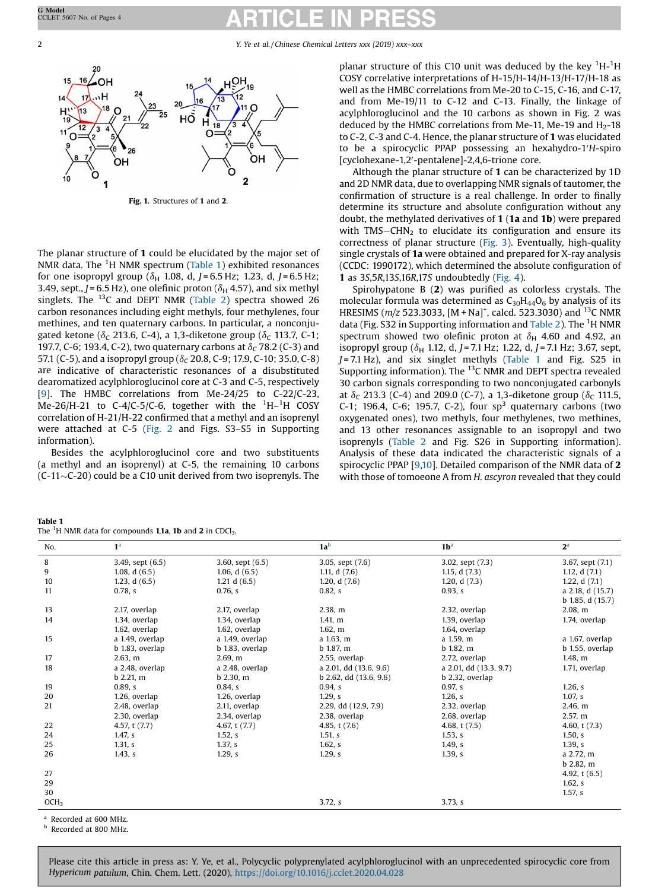<span id="page-1-0"></span>2 Y. Ye et al. / Chinese Chemical Letters xxx (2019) xxx–xxx



Fig. 1. Structures of 1 and 2.

The planar structure of 1 could be elucidated by the major set of NMR data. The <sup>1</sup>H NMR spectrum (Table 1) exhibited resonances for one isopropyl group ( $\delta_H$  1.08, d, J = 6.5 Hz; 1.23, d, J = 6.5 Hz; 3.49, sept.,  $J = 6.5$  Hz), one olefinic proton ( $\delta_H$  4.57), and six methyl singlets. The <sup>13</sup>C and DEPT NMR ([Table](#page-2-0) 2) spectra showed 26 carbon resonances including eight methyls, four methylenes, four methines, and ten quaternary carbons. In particular, a nonconjugated ketone ( $\delta_c$  213.6, C-4), a 1,3-diketone group ( $\delta_c$  113.7, C-1; 197.7, C-6; 193.4, C-2), two quaternary carbons at  $\delta_c$  78.2 (C-3) and 57.1 (C-5), and a isopropyl group ( $\delta_C$  20.8, C-9; 17.9, C-10; 35.0, C-8) are indicative of characteristic resonances of a disubstituted dearomatized acylphloroglucinol core at C-3 and C-5, respectively [[9](#page-3-0)]. The HMBC correlations from Me-24/25 to C-22/C-23, Me-26/H-21 to C-4/C-5/C-6, together with the  ${}^{1}$ H- ${}^{1}$ H COSY correlation of H-21/H-22 confirmed that a methyl and an isoprenyl were attached at C-5 ([Fig.](#page-2-0) 2 and Figs. S3–S5 in Supporting information).

Besides the acylphloroglucinol core and two substituents (a methyl and an isoprenyl) at C-5, the remaining 10 carbons  $(C-11$  $\sim$ C-20) could be a C10 unit derived from two isoprenyls. The

| planar structure of this C10 unit was deduced by the key ${}^{1}H-{}^{1}H$ |
|----------------------------------------------------------------------------|
| COSY correlative interpretations of H-15/H-14/H-13/H-17/H-18 as            |
| well as the HMBC correlations from Me-20 to C-15, C-16, and C-17,          |
| and from Me-19/11 to C-12 and C-13. Finally, the linkage of                |
| acylphloroglucinol and the 10 carbons as shown in Fig. 2 was               |
| deduced by the HMBC correlations from Me-11, Me-19 and $H2$ -18            |
| to C-2, C-3 and C-4. Hence, the planar structure of 1 was elucidated       |
| to be a spirocyclic PPAP possessing an hexahydro-1'H-spiro                 |
| [cyclohexane-1,2'-pentalene]-2,4,6-trione core.                            |

Although the planar structure of 1 can be characterized by 1D and 2D NMR data, due to overlapping NMR signals of tautomer, the confirmation of structure is a real challenge. In order to finally determine its structure and absolute configuration without any doubt, the methylated derivatives of 1 (1a and 1b) were prepared with  $TMS-CHN<sub>2</sub>$  to elucidate its configuration and ensure its correctness of planar structure ([Fig.](#page-2-0) 3). Eventually, high-quality single crystals of 1a were obtained and prepared for X-ray analysis (CCDC: 1990172), which determined the absolute configuration of 1 as 3S,5R,13S,16R,17S undoubtedly ([Fig.](#page-2-0) 4).

Spirohypatone B (2) was purified as colorless crystals. The molecular formula was determined as  $C_{30}H_{44}O_6$  by analysis of its HRESIMS ( $m/z$  523.3033, [M + Na]<sup>+</sup>, calcd. 523.3030) and <sup>13</sup>C NMR data (Fig. S32 in Supporting information and [Table](#page-2-0) 2). The <sup>1</sup>H NMR spectrum showed two olefinic proton at  $\delta_H$  4.60 and 4.92, an isopropyl group ( $\delta_H$  1.12, d, J = 7.1 Hz; 1.22, d, J = 7.1 Hz; 3.67, sept,  $J = 7.1$  Hz), and six singlet methyls (Table 1 and Fig. S25 in Supporting information). The <sup>13</sup>C NMR and DEPT spectra revealed 30 carbon signals corresponding to two nonconjugated carbonyls at  $\delta_c$  213.3 (C-4) and 209.0 (C-7), a 1,3-diketone group ( $\delta_c$  111.5, C-1; 196.4, C-6; 195.7, C-2), four  $sp<sup>3</sup>$  quaternary carbons (two oxygenated ones), two methyls, four methylenes, two methines, and 13 other resonances assignable to an isopropyl and two isoprenyls ([Table](#page-2-0) 2 and Fig. S26 in Supporting information). Analysis of these data indicated the characteristic signals of a spirocyclic PPAP [[9,10](#page-3-0)]. Detailed comparison of the NMR data of 2 with those of tomoeone A from H. ascyron revealed that they could

| Table 1                                                                                       |  |
|-----------------------------------------------------------------------------------------------|--|
| The <sup>1</sup> H NMR data for compounds <b>1,1a, 1b</b> and <b>2</b> in CDCl <sub>3</sub> . |  |

| No.              | 1 <sup>a</sup>     |                    | 1a <sup>b</sup>            | 1 <sup>b</sup>         | 2 <sup>a</sup>       |
|------------------|--------------------|--------------------|----------------------------|------------------------|----------------------|
| 8                | 3.49, sept $(6.5)$ | 3.60, sept $(6.5)$ | 3.05, sept (7.6)           | 3.02, sept (7.3)       | 3.67, sept (7.1)     |
| 9                | 1.08, $d(6.5)$     | 1.06, $d(6.5)$     | 1.11, $d(7.6)$             | 1.15, $d(7.3)$         | 1.12, $d(7.1)$       |
| 10               | 1.23, $d(6.5)$     | 1.21 d $(6.5)$     | 1.20, $d(7.6)$             | 1.20, $d(7.3)$         | 1.22, d $(7.1)$      |
| 11               | 0.78, s            | 0.76, s            | 0.82, s                    | 0.93, s                | a 2.18, d (15.7)     |
|                  |                    |                    |                            |                        | $b$ 1.85, d $(15.7)$ |
| 13               | 2.17, overlap      | 2.17, overlap      | 2.38, m                    | 2.32, overlap          | 2.08, m              |
| 14               | 1.34, overlap      | 1.34. overlap      | $1.411$ m                  | 1.39, overlap          | 1.74, overlap        |
|                  | 1.62, overlap      | 1.62, overlap      | 1.62, m                    | 1.64, overlap          |                      |
| 15               | a 1.49, overlap    | a 1.49, overlap    | a 1.63, m                  | a 1.59, m              | a 1.67, overlap      |
|                  | b 1.83, overlap    | b 1.83, overlap    | $b$ 1.87, m                | $b$ 1.82, m            | b 1.55, overlap      |
| 17               | 2.63, m            | $2.691$ m          | 2.55, overlap              | 2.72, overlap          | 1.48, m              |
| 18               | a 2.48, overlap    | a 2.48, overlap    | a 2.01, dd (13.6, 9.6)     | a 2.01, dd (13.3, 9.7) | 1.71, overlap        |
|                  | $b$ 2.21, m        | $b$ 2.30, m        | $b$ 2.62, dd $(13.6, 9.6)$ | b 2.32, overlap        |                      |
| 19               | 0.89. s            | 0.84, s            | $0.94$ , s                 | 0.97 s                 | 1.26, s              |
| 20               | 1.26, overlap      | 1.26, overlap      | $1.29$ , s                 | 1.26, s                | 1.07 s               |
| 21               | 2.48, overlap      | 2.11, overlap      | 2.29, dd (12.9, 7.9)       | 2.32, overlap          | 2.46, m              |
|                  | 2.30, overlap      | 2.34, overlap      | 2.38, overlap              | 2.68, overlap          | 2.57 m               |
| 22               | 4.57, t (7.7)      | 4.67, $t(7.7)$     | 4.85, $t(7.6)$             | 4.68, $t(7.5)$         | 4.60, $t(7.3)$       |
| 24               | 1.47 s             | 1.52, s            | $1.51$ , s                 | 1.53, s                | 1.50, s              |
| 25               | 1.31 <sub>5</sub>  | 1.37 <sub>s</sub>  | 1.62, s                    | 1.49, s                | 1.39 <sub>s</sub>    |
| 26               | 1.43, s            | $1.29$ , s         | $1.29$ , s                 | 1.39, s                | a 2.72, m            |
|                  |                    |                    |                            |                        | $b$ 2.82, m          |
| 27               |                    |                    |                            |                        | 4.92, $t(6.5)$       |
| 29               |                    |                    |                            |                        | 1.62, s              |
| 30               |                    |                    |                            |                        | $1.57$ , s           |
| OCH <sub>3</sub> |                    |                    | 3.72, s                    | 3.73, s                |                      |

Recorded at 600 MHz.

**b** Recorded at 800 MHz.

Please cite this article in press as: Y. Ye, et al., Polycyclic polyprenylated acylphloroglucinol with an unprecedented spirocyclic core from Hypericum patulum, Chin. Chem. Lett. (2020), <https://doi.org/10.1016/j.cclet.2020.04.028>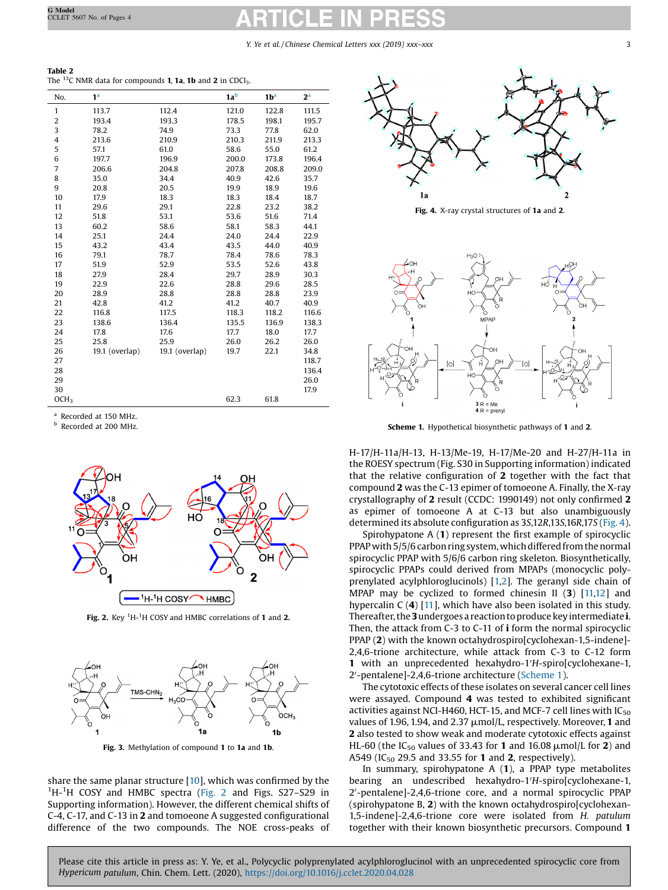Y. Ye et al. / Chinese Chemical Letters xxx (2019) xxx–xxx 33

<span id="page-2-0"></span>

| Table 2 |                                                                                           |  |  |  |  |  |
|---------|-------------------------------------------------------------------------------------------|--|--|--|--|--|
|         | The $^{13}$ C NMR data for compounds <b>1, 1a, 1b</b> and <b>2</b> in CDCl <sub>3</sub> . |  |  |  |  |  |

| No.              | 1 <sup>a</sup> |                | 1a <sup>b</sup> | 1 <sup>b</sup> | 2 <sup>a</sup> |
|------------------|----------------|----------------|-----------------|----------------|----------------|
| $\mathbf{1}$     | 113.7          | 112.4          | 121.0           | 122.8          | 111.5          |
| $\overline{c}$   | 193.4          | 193.3          | 178.5           | 198.1          | 195.7          |
| 3                | 78.2           | 74.9           | 73.3            | 77.8           | 62.0           |
| 4                | 213.6          | 210.9          | 210.3           | 211.9          | 213.3          |
| 5                | 57.1           | 61.0           | 58.6            | 55.0           | 61.2           |
| 6                | 197.7          | 196.9          | 200.0           | 173.8          | 196.4          |
| $\overline{7}$   | 206.6          | 204.8          | 207.8           | 208.8          | 209.0          |
| 8                | 35.0           | 34.4           | 40.9            | 42.6           | 35.7           |
| 9                | 20.8           | 20.5           | 19.9            | 18.9           | 19.6           |
| 10               | 17.9           | 18.3           | 18.3            | 18.4           | 18.7           |
| 11               | 29.6           | 29.1           | 22.8            | 23.2           | 38.2           |
| 12               | 51.8           | 53.1           | 53.6            | 51.6           | 71.4           |
| 13               | 60.2           | 58.6           | 58.1            | 58.3           | 44.1           |
| 14               | 25.1           | 24.4           | 24.0            | 24.4           | 22.9           |
| 15               | 43.2           | 43.4           | 43.5            | 44.0           | 40.9           |
| 16               | 79.1           | 78.7           | 78.4            | 78.6           | 78.3           |
| 17               | 51.9           | 52.9           | 53.5            | 52.6           | 43.8           |
| 18               | 27.9           | 28.4           | 29.7            | 28.9           | 30.3           |
| 19               | 22.9           | 22.6           | 28.8            | 29.6           | 28.5           |
| 20               | 28.9           | 28.8           | 28.8            | 28.8           | 23.9           |
| 21               | 42.8           | 41.2           | 41.2            | 40.7           | 40.9           |
| 22               | 116.8          | 117.5          | 118.3           | 118.2          | 116.6          |
| 23               | 138.6          | 136.4          | 135.5           | 136.9          | 138.3          |
| 24               | 17.8           | 17.6           | 17.7            | 18.0           | 17.7           |
| 25               | 25.8           | 25.9           | 26.0            | 26.2           | 26.0           |
| 26               | 19.1 (overlap) | 19.1 (overlap) | 19.7            | 22.1           | 34.8           |
| 27               |                |                |                 |                | 118.7          |
| 28               |                |                |                 |                | 136.4          |
| 29               |                |                |                 |                | 26.0           |
| 30               |                |                |                 |                | 17.9           |
| OCH <sub>3</sub> |                |                | 62.3            | 61.8           |                |

<sup>a</sup> Recorded at 150 MHz.

<sup>b</sup> Recorded at 200 MHz.



Fig. 2. Key  ${}^{1}$ H- ${}^{1}$ H COSY and HMBC correlations of 1 and 2.



Fig. 3. Methylation of compound 1 to 1a and 1b.

share the same planar structure [[10](#page-3-0)], which was confirmed by the <sup>1</sup>H-<sup>1</sup>H COSY and HMBC spectra (Fig. 2 and Figs. S27-S29 in Supporting information). However, the different chemical shifts of C-4, C-17, and C-13 in 2 and tomoeone A suggested configurational difference of the two compounds. The NOE cross-peaks of



Fig. 4. X-ray crystal structures of 1a and 2.



Scheme 1. Hypothetical biosynthetic pathways of 1 and 2.

H-17/H-11a/H-13, H-13/Me-19, H-17/Me-20 and H-27/H-11a in the ROESY spectrum (Fig. S30 in Supporting information) indicated that the relative configuration of 2 together with the fact that compound 2 was the C-13 epimer of tomoeone A. Finally, the X-ray crystallography of 2 result (CCDC: 1990149) not only confirmed 2 as epimer of tomoeone A at C-13 but also unambiguously determined its absolute configuration as 3S,12R,13S,16R,17S (Fig. 4).

Spirohypatone A (1) represent the first example of spirocyclic PPAP with 5/5/6 carbon ring system, which differed from the normal spirocyclic PPAP with 5/6/6 carbon ring skeleton. Biosynthetically, spirocyclic PPAPs could derived from MPAPs (monocyclic polyprenylated acylphloroglucinols) [[1,2](#page-3-0)]. The geranyl side chain of MPAP may be cyclized to formed chinesin II  $(3)$   $[11,12]$  $[11,12]$  and hypercalin  $C(4)$  [\[11](#page-3-0)], which have also been isolated in this study. Thereafter, the 3 undergoes a reaction to produce key intermediate i. Then, the attack from C-3 to C-11 of i form the normal spirocyclic PPAP (2) with the known octahydrospiro[cyclohexan-1,5-indene]- 2,4,6-trione architecture, while attack from C-3 to C-12 form **1** with an unprecedented hexahydro-1'H-spiro[cyclohexane-1, 2'-pentalene]-2,4,6-trione architecture (Scheme 1).

The cytotoxic effects of these isolates on several cancer cell lines were assayed. Compound 4 was tested to exhibited significant activities against NCI-H460, HCT-15, and MCF-7 cell lines with  $IC_{50}$ values of 1.96, 1.94, and 2.37  $\mu$ mol/L, respectively. Moreover, 1 and 2 also tested to show weak and moderate cytotoxic effects against HL-60 (the IC<sub>50</sub> values of 33.43 for 1 and 16.08  $\mu$ mol/L for 2) and A549 (IC<sub>50</sub> 29.5 and 33.55 for 1 and 2, respectively).

In summary, spirohypatone A (1), a PPAP type metabolites bearing an undescribed hexahydro-1'H-spiro[cyclohexane-1, 2'-pentalene]-2,4,6-trione core, and a normal spirocyclic PPAP (spirohypatone B, 2) with the known octahydrospiro[cyclohexan-1,5-indene]-2,4,6-trione core were isolated from H. patulum together with their known biosynthetic precursors. Compound 1

Please cite this article in press as: Y. Ye, et al., Polycyclic polyprenylated acylphloroglucinol with an unprecedented spirocyclic core from Hypericum patulum, Chin. Chem. Lett. (2020), <https://doi.org/10.1016/j.cclet.2020.04.028>